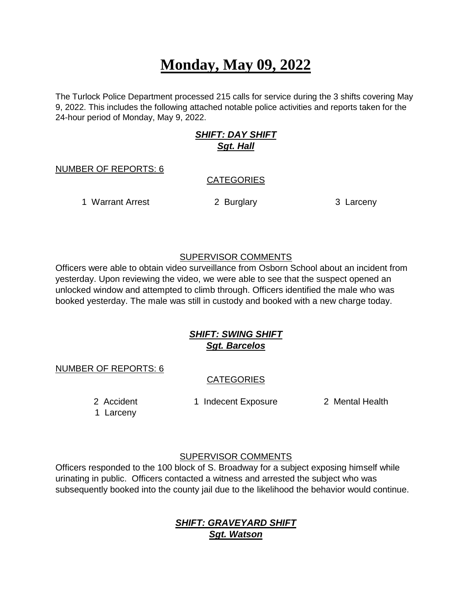# **Monday, May 09, 2022**

The Turlock Police Department processed 215 calls for service during the 3 shifts covering May 9, 2022. This includes the following attached notable police activities and reports taken for the 24-hour period of Monday, May 9, 2022.

# *SHIFT: DAY SHIFT Sgt. Hall*

#### NUMBER OF REPORTS: 6

#### **CATEGORIES**

1 Warrant Arrest **2 Burglary 3 Larceny** 

## SUPERVISOR COMMENTS

Officers were able to obtain video surveillance from Osborn School about an incident from yesterday. Upon reviewing the video, we were able to see that the suspect opened an unlocked window and attempted to climb through. Officers identified the male who was booked yesterday. The male was still in custody and booked with a new charge today.

# *SHIFT: SWING SHIFT Sgt. Barcelos*

NUMBER OF REPORTS: 6

# **CATEGORIES**

2 Accident 1 Indecent Exposure 2 Mental Health

1 Larceny

## SUPERVISOR COMMENTS

Officers responded to the 100 block of S. Broadway for a subject exposing himself while urinating in public. Officers contacted a witness and arrested the subject who was subsequently booked into the county jail due to the likelihood the behavior would continue.

# *SHIFT: GRAVEYARD SHIFT Sgt. Watson*